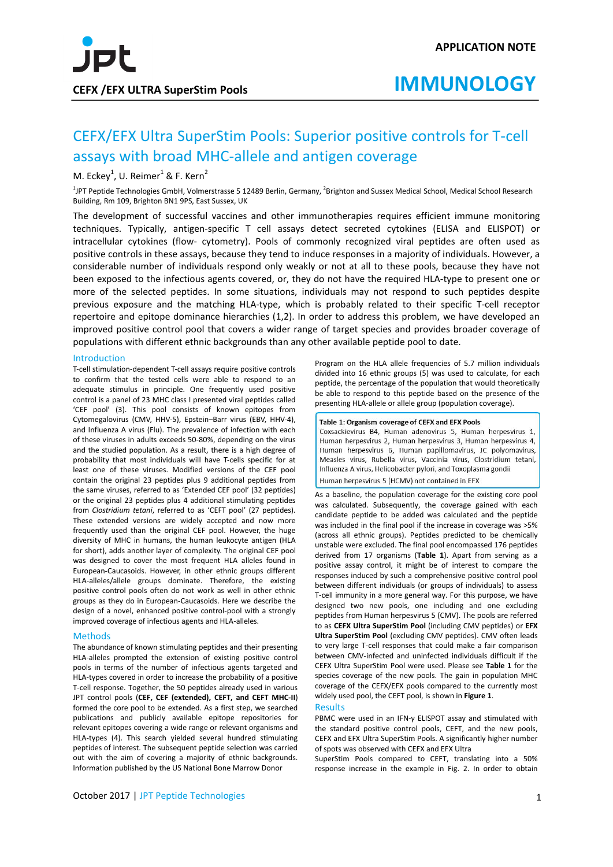# CEFX/EFX Ultra SuperStim Pools: Superior positive controls for T-cell assays with broad MHC-allele and antigen coverage

## M. Eckey<sup>1</sup>, U. Reimer<sup>1</sup> & F. Kern<sup>2</sup>

<sup>1</sup>JPT Peptide Technologies GmbH, Volmerstrasse 5 12489 Berlin, Germany, <sup>2</sup>Brighton and Sussex Medical School, Medical School Research Building, Rm 109, Brighton BN1 9PS, East Sussex, UK

The development of successful vaccines and other immunotherapies requires efficient immune monitoring techniques. Typically, antigen-specific T cell assays detect secreted cytokines (ELISA and ELISPOT) or intracellular cytokines (flow- cytometry). Pools of commonly recognized viral peptides are often used as positive controls in these assays, because they tend to induce responses in a majority of individuals. However, a considerable number of individuals respond only weakly or not at all to these pools, because they have not been exposed to the infectious agents covered, or, they do not have the required HLA-type to present one or more of the selected peptides. In some situations, individuals may not respond to such peptides despite previous exposure and the matching HLA-type, which is probably related to their specific T-cell receptor repertoire and epitope dominance hierarchies (1,2). In order to address this problem, we have developed an improved positive control pool that covers a wider range of target species and provides broader coverage of populations with different ethnic backgrounds than any other available peptide pool to date.

### Introduction

T-cell stimulation-dependent T-cell assays require positive controls to confirm that the tested cells were able to respond to an adequate stimulus in principle. One frequently used positive control is a panel of 23 MHC class I presented viral peptides called 'CEF pool' (3). This pool consists of known epitopes from Cytomegalovirus (CMV, HHV-5), Epstein–Barr virus (EBV, HHV-4), and Influenza A virus (Flu). The prevalence of infection with each of these viruses in adults exceeds 50-80%, depending on the virus and the studied population. As a result, there is a high degree of probability that most individuals will have T-cells specific for at least one of these viruses. Modified versions of the CEF pool contain the original 23 peptides plus 9 additional peptides from the same viruses, referred to as 'Extended CEF pool' (32 peptides) or the original 23 peptides plus 4 additional stimulating peptides from *Clostridium tetani*, referred to as 'CEFT pool' (27 peptides). These extended versions are widely accepted and now more frequently used than the original CEF pool. However, the huge diversity of MHC in humans, the human leukocyte antigen (HLA for short), adds another layer of complexity. The original CEF pool was designed to cover the most frequent HLA alleles found in European-Caucasoids. However, in other ethnic groups different HLA-alleles/allele groups dominate. Therefore, the existing positive control pools often do not work as well in other ethnic groups as they do in European-Caucasoids. Here we describe the design of a novel, enhanced positive control-pool with a strongly improved coverage of infectious agents and HLA-alleles.

### Methods

The abundance of known stimulating peptides and their presenting HLA-alleles prompted the extension of existing positive control pools in terms of the number of infectious agents targeted and HLA-types covered in order to increase the probability of a positive T-cell response. Together, the 50 peptides already used in various JPT control pools (**CEF, CEF (extended), CEFT, and CEFT MHC-II**) formed the core pool to be extended. As a first step, we searched publications and publicly available epitope repositories for relevant epitopes covering a wide range or relevant organisms and HLA-types (4). This search yielded several hundred stimulating peptides of interest. The subsequent peptide selection was carried out with the aim of covering a majority of ethnic backgrounds. Information published by the US National Bone Marrow Donor

Program on the HLA allele frequencies of 5.7 million individuals divided into 16 ethnic groups (5) was used to calculate, for each peptide, the percentage of the population that would theoretically be able to respond to this peptide based on the presence of the presenting HLA-allele or allele group (population coverage).

### Table 1: Organism coverage of CEFX and EFX Pools

Coxsackievirus B4, Human adenovirus 5, Human herpesvirus 1, Human herpesvirus 2, Human herpesvirus 3, Human herpesvirus 4, Human herpesvirus 6, Human papillomavirus, JC polyomavirus, Measles virus, Rubella virus, Vaccinia virus, Clostridium tetani, Influenza A virus, Helicobacter pylori, and Toxoplasma gondii

### Human herpesvirus 5 (HCMV) not contained in EFX

As a baseline, the population coverage for the existing core pool was calculated. Subsequently, the coverage gained with each candidate peptide to be added was calculated and the peptide was included in the final pool if the increase in coverage was >5% (across all ethnic groups). Peptides predicted to be chemically unstable were excluded. The final pool encompassed 176 peptides derived from 17 organisms (**Table 1**). Apart from serving as a positive assay control, it might be of interest to compare the responses induced by such a comprehensive positive control pool between different individuals (or groups of individuals) to assess T-cell immunity in a more general way. For this purpose, we have designed two new pools, one including and one excluding peptides from Human herpesvirus 5 (CMV). The pools are referred to as **CEFX Ultra SuperStim Pool** (including CMV peptides) or **EFX Ultra SuperStim Pool** (excluding CMV peptides). CMV often leads to very large T-cell responses that could make a fair comparison between CMV-infected and uninfected individuals difficult if the CEFX Ultra SuperStim Pool were used. Please see **Table 1** for the species coverage of the new pools. The gain in population MHC coverage of the CEFX/EFX pools compared to the currently most widely used pool, the CEFT pool, is shown in **Figure 1**.

### Results

PBMC were used in an IFN-γ ELISPOT assay and stimulated with the standard positive control pools, CEFT, and the new pools, CEFX and EFX Ultra SuperStim Pools. A significantly higher number of spots was observed with CEFX and EFX Ultra

SuperStim Pools compared to CEFT, translating into a 50% response increase in the example in Fig. 2. In order to obtain